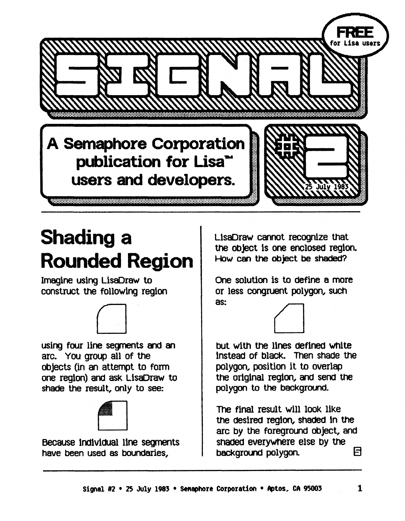

## Shading a Rounded Region

Imagine using LisaOraw to construct the fOllowing region



using four line segments and an arc. You group all of the objects (in an attempt to form one region) and ask LlsaDraw to shade the result, only to see:



Because individual line segments have been used as boundaries,

LlsaDraw cannot recognize that the object is one enclosed region. How can the object be shaded?

One solution is to define a more or less congruent polygon, such as:



but with the Unes deflned White instead of black. Then shade the polygon, position it to overlap the original region, and send the polygon to the background.

The final result will look like the desired reglon, shaded In the arc by the foreground object, and shaded everywhere else by the background polygon.  $\Box$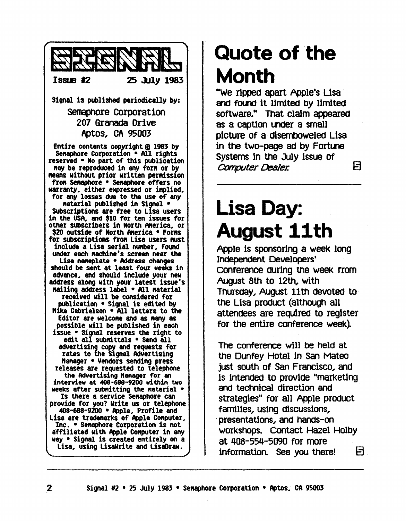

#### Quote of the Month

"We ripped apart Apple's Lisa and found it limited by limited software." That claim appeared as a caption under a small pIcture of a dIsembOweled LIsa in the two-page ad by Fortune systems In tne JUly Issue of *Conputer* Dealer. E)

#### Lisa Day: August 11th

Apple Is sponsoring a week long Independent Developers' conference during the week from August 8th to 12th, with ThUrsday, August 11th deVoted to the Lisa product (although all attendees are required to register for the entire conference week)

The conference will be held at the OUnfey Hotel In San Mateo just south of San Francisco, and Is Intended to provIde "marketIng and technical direction and strategies" for all Apple product famIlies, using discussions, . presentations, and hands-on workshops. Contact Hazel Holby at 408-554-5090 for more information. See you there!  $\Box$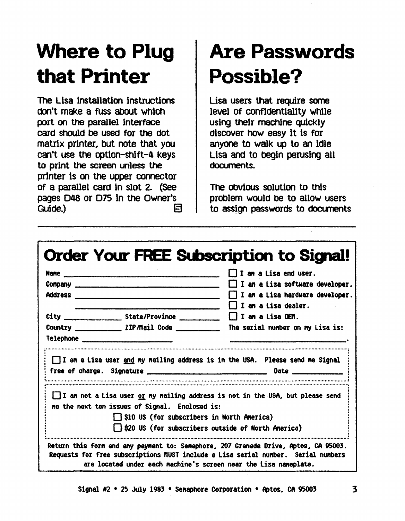### **Where to Plug that Printer**

The Lisa installation instructions don't make a fuss about WhiCh port on the parallel interface card should be used for the dot matrix printer, but note that you can't use the option-ShIft-4 keys to print the screen unless the printer Is on the upper connector of a parallel card In slot 2. (See pages D48 or D75 in the Owner's Guide.)  $\qquad \qquad \Box$ 

## **Are Passwords Possible?**

Lisa users that require some level of confidentiality whlle using their machine quickly discover how easy It Is for anyone to walk up to an Idle Lisa and to begin perusing all documents.

The Obvious solution to this problem would be to allow users to assign passwords to documents

|                                                    |                                                                                                     | I I am a Lisa end user.<br>$\Box$ I an a Lisa software developer.<br>I am a Lisa hardware developer.                                                |
|----------------------------------------------------|-----------------------------------------------------------------------------------------------------|-----------------------------------------------------------------------------------------------------------------------------------------------------|
| <b>Telephone All and Separate Service Research</b> | Country $\begin{array}{c} \begin{array}{c} \text{C} \\ \text{C} \end{array} \end{array}$            | l <b>II an a</b> Lisa dealer.<br>I I an a Lisa OEM.<br>The serial number on my Lisa is:                                                             |
|                                                    |                                                                                                     | I I an a Lisa user and my nailing address is in the USA. Please send me Signal                                                                      |
|                                                    | me the next ten issues of Signal. Enclosed is:<br>$\Box$ \$10 US (for subscribers in North America) | $\Box$ I an not a Lisa user $or$ my mailing address is not in the USA, but please send<br>$\Box$ \$20 US (for subscribers outside of North America) |